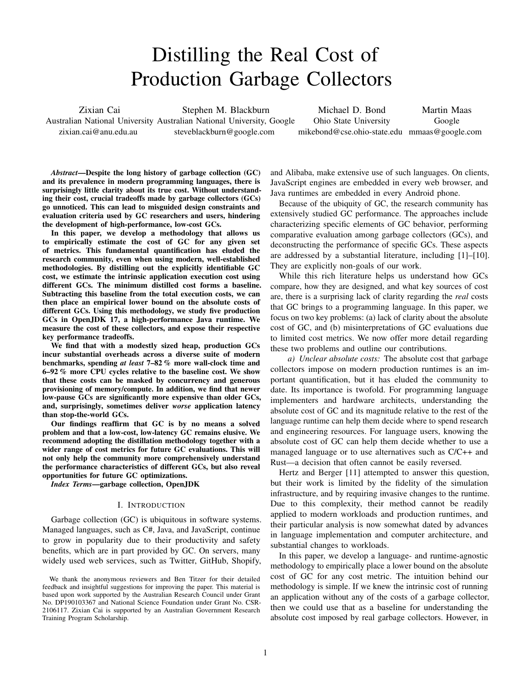# Distilling the Real Cost of Production Garbage Collectors

<span id="page-0-0"></span>Zixian Cai Australian National University Australian National University, Google [zixian.cai@anu.edu.au](mailto:zixian.cai@anu.edu.au) Stephen M. Blackburn [steveblackburn@google.com](mailto:steveblackburn@google.com)

Michael D. Bond Ohio State University [mikebond@cse.ohio-state.edu](mailto:mikebond@cse.ohio-state.edu) [mmaas@google.com](mailto:mmaas@google.com) Martin Maas Google

*Abstract*—Despite the long history of garbage collection (GC) and its prevalence in modern programming languages, there is surprisingly little clarity about its true cost. Without understanding their cost, crucial tradeoffs made by garbage collectors (GCs) go unnoticed. This can lead to misguided design constraints and evaluation criteria used by GC researchers and users, hindering the development of high-performance, low-cost GCs.

In this paper, we develop a methodology that allows us to empirically estimate the cost of GC for any given set of metrics. This fundamental quantification has eluded the research community, even when using modern, well-established methodologies. By distilling out the explicitly identifiable GC cost, we estimate the intrinsic application execution cost using different GCs. The minimum distilled cost forms a baseline. Subtracting this baseline from the total execution costs, we can then place an empirical lower bound on the absolute costs of different GCs. Using this methodology, we study five production GCs in OpenJDK 17, a high-performance Java runtime. We measure the cost of these collectors, and expose their respective key performance tradeoffs.

We find that with a modestly sized heap, production GCs incur substantial overheads across a diverse suite of modern benchmarks, spending *at least* 7–82 % more wall-clock time and 6–92 % more CPU cycles relative to the baseline cost. We show that these costs can be masked by concurrency and generous provisioning of memory/compute. In addition, we find that newer low-pause GCs are significantly more expensive than older GCs, and, surprisingly, sometimes deliver *worse* application latency than stop-the-world GCs.

Our findings reaffirm that GC is by no means a solved problem and that a low-cost, low-latency GC remains elusive. We recommend adopting the distillation methodology together with a wider range of cost metrics for future GC evaluations. This will not only help the community more comprehensively understand the performance characteristics of different GCs, but also reveal opportunities for future GC optimizations.

*Index Terms*—garbage collection, OpenJDK

#### I. INTRODUCTION

<span id="page-0-1"></span>Garbage collection (GC) is ubiquitous in software systems. Managed languages, such as C#, Java, and JavaScript, continue to grow in popularity due to their productivity and safety benefits, which are in part provided by GC. On servers, many widely used web services, such as Twitter, GitHub, Shopify,

and Alibaba, make extensive use of such languages. On clients, JavaScript engines are embedded in every web browser, and Java runtimes are embedded in every Android phone.

Because of the ubiquity of GC, the research community has extensively studied GC performance. The approaches include characterizing specific elements of GC behavior, performing comparative evaluation among garbage collectors (GCs), and deconstructing the performance of specific GCs. These aspects are addressed by a substantial literature, including [\[1\]](#page-10-0)–[\[10\]](#page-10-1). They are explicitly non-goals of our work.

While this rich literature helps us understand how GCs compare, how they are designed, and what key sources of cost are, there is a surprising lack of clarity regarding the *real* costs that GC brings to a programming language. In this paper, we focus on two key problems: (a) lack of clarity about the absolute cost of GC, and (b) misinterpretations of GC evaluations due to limited cost metrics. We now offer more detail regarding these two problems and outline our contributions.

*a) Unclear absolute costs:* The absolute cost that garbage collectors impose on modern production runtimes is an important quantification, but it has eluded the community to date. Its importance is twofold. For programming language implementers and hardware architects, understanding the absolute cost of GC and its magnitude relative to the rest of the language runtime can help them decide where to spend research and engineering resources. For language users, knowing the absolute cost of GC can help them decide whether to use a managed language or to use alternatives such as C/C++ and Rust—a decision that often cannot be easily reversed.

Hertz and Berger [\[11\]](#page-10-2) attempted to answer this question, but their work is limited by the fidelity of the simulation infrastructure, and by requiring invasive changes to the runtime. Due to this complexity, their method cannot be readily applied to modern workloads and production runtimes, and their particular analysis is now somewhat dated by advances in language implementation and computer architecture, and substantial changes to workloads.

In this paper, we develop a language- and runtime-agnostic methodology to empirically place a lower bound on the absolute cost of GC for any cost metric. The intuition behind our methodology is simple. If we knew the intrinsic cost of running an application without any of the costs of a garbage collector, then we could use that as a baseline for understanding the absolute cost imposed by real garbage collectors. However, in

We thank the anonymous reviewers and Ben Titzer for their detailed feedback and insightful suggestions for improving the paper. This material is based upon work supported by the Australian Research Council under Grant No. DP190103367 and National Science Foundation under Grant No. CSR-2106117. Zixian Cai is supported by an Australian Government Research Training Program Scholarship.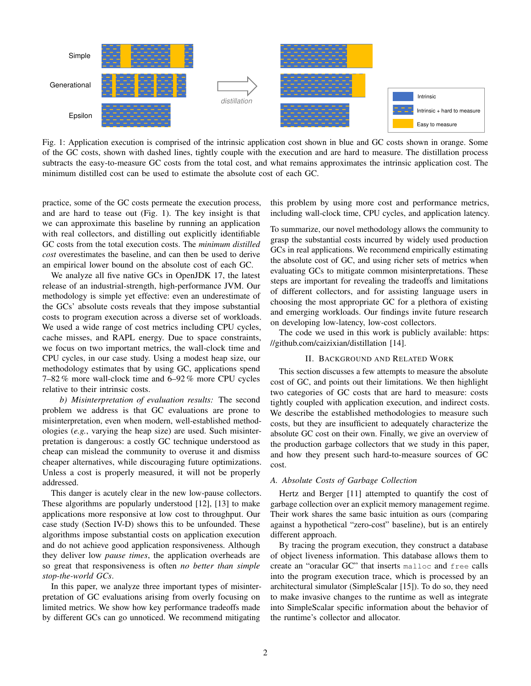<span id="page-1-0"></span>

Fig. 1: Application execution is comprised of the intrinsic application cost shown in blue and GC costs shown in orange. Some of the GC costs, shown with dashed lines, tightly couple with the execution and are hard to measure. The distillation process subtracts the easy-to-measure GC costs from the total cost, and what remains approximates the intrinsic application cost. The minimum distilled cost can be used to estimate the absolute cost of each GC.

practice, some of the GC costs permeate the execution process, and are hard to tease out [\(Fig. 1\)](#page-1-0). The key insight is that we can approximate this baseline by running an application with real collectors, and distilling out explicitly identifiable GC costs from the total execution costs. The *minimum distilled cost* overestimates the baseline, and can then be used to derive an empirical lower bound on the absolute cost of each GC.

We analyze all five native GCs in OpenJDK 17, the latest release of an industrial-strength, high-performance JVM. Our methodology is simple yet effective: even an underestimate of the GCs' absolute costs reveals that they impose substantial costs to program execution across a diverse set of workloads. We used a wide range of cost metrics including CPU cycles, cache misses, and RAPL energy. Due to space constraints, we focus on two important metrics, the wall-clock time and CPU cycles, in our case study. Using a modest heap size, our methodology estimates that by using GC, applications spend 7–82 % more wall-clock time and 6–92 % more CPU cycles relative to their intrinsic costs.

*b) Misinterpretation of evaluation results:* The second problem we address is that GC evaluations are prone to misinterpretation, even when modern, well-established methodologies (*e.g.*, varying the heap size) are used. Such misinterpretation is dangerous: a costly GC technique understood as cheap can mislead the community to overuse it and dismiss cheaper alternatives, while discouraging future optimizations. Unless a cost is properly measured, it will not be properly addressed.

This danger is acutely clear in the new low-pause collectors. These algorithms are popularly understood [\[12\]](#page-10-3), [\[13\]](#page-10-4) to make applications more responsive at low cost to throughput. Our case study [\(Section](#page-8-0) IV-D) shows this to be unfounded. These algorithms impose substantial costs on application execution and do not achieve good application responsiveness. Although they deliver low *pause times*, the application overheads are so great that responsiveness is often *no better than simple stop-the-world GCs*.

In this paper, we analyze three important types of misinterpretation of GC evaluations arising from overly focusing on limited metrics. We show how key performance tradeoffs made by different GCs can go unnoticed. We recommend mitigating

this problem by using more cost and performance metrics, including wall-clock time, CPU cycles, and application latency.

To summarize, our novel methodology allows the community to grasp the substantial costs incurred by widely used production GCs in real applications. We recommend empirically estimating the absolute cost of GC, and using richer sets of metrics when evaluating GCs to mitigate common misinterpretations. These steps are important for revealing the tradeoffs and limitations of different collectors, and for assisting language users in choosing the most appropriate GC for a plethora of existing and emerging workloads. Our findings invite future research on developing low-latency, low-cost collectors.

The code we used in this work is publicly available: [https:](https://github.com/caizixian/distillation) [//github.com/caizixian/distillation](https://github.com/caizixian/distillation) [\[14\]](#page-10-5).

#### II. BACKGROUND AND RELATED WORK

This section discusses a few attempts to measure the absolute cost of GC, and points out their limitations. We then highlight two categories of GC costs that are hard to measure: costs tightly coupled with application execution, and indirect costs. We describe the established methodologies to measure such costs, but they are insufficient to adequately characterize the absolute GC cost on their own. Finally, we give an overview of the production garbage collectors that we study in this paper, and how they present such hard-to-measure sources of GC cost.

#### *A. Absolute Costs of Garbage Collection*

Hertz and Berger [\[11\]](#page-10-2) attempted to quantify the cost of garbage collection over an explicit memory management regime. Their work shares the same basic intuition as ours (comparing against a hypothetical "zero-cost" baseline), but is an entirely different approach.

By tracing the program execution, they construct a database of object liveness information. This database allows them to create an "oracular GC" that inserts malloc and free calls into the program execution trace, which is processed by an architectural simulator (SimpleScalar [\[15\]](#page-10-6)). To do so, they need to make invasive changes to the runtime as well as integrate into SimpleScalar specific information about the behavior of the runtime's collector and allocator.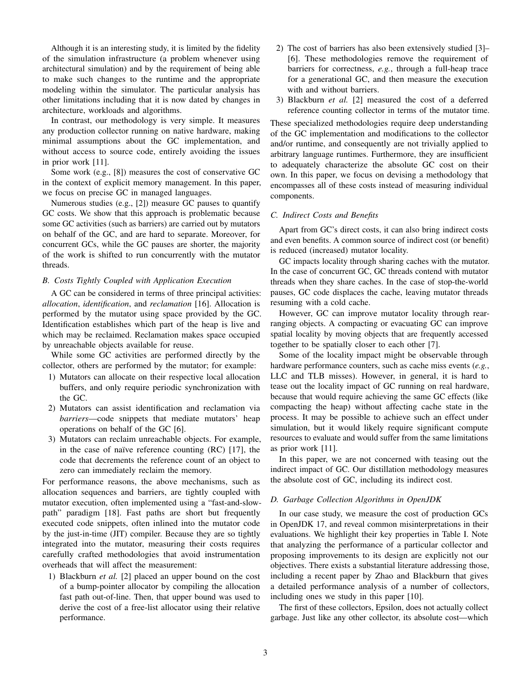Although it is an interesting study, it is limited by the fidelity of the simulation infrastructure (a problem whenever using architectural simulation) and by the requirement of being able to make such changes to the runtime and the appropriate modeling within the simulator. The particular analysis has other limitations including that it is now dated by changes in architecture, workloads and algorithms.

In contrast, our methodology is very simple. It measures any production collector running on native hardware, making minimal assumptions about the GC implementation, and without access to source code, entirely avoiding the issues in prior work [\[11\]](#page-10-2).

Some work (e.g., [\[8\]](#page-10-7)) measures the cost of conservative GC in the context of explicit memory management. In this paper, we focus on precise GC in managed languages.

Numerous studies (e.g., [\[2\]](#page-10-8)) measure GC pauses to quantify GC costs. We show that this approach is problematic because some GC activities (such as barriers) are carried out by mutators on behalf of the GC, and are hard to separate. Moreover, for concurrent GCs, while the GC pauses are shorter, the majority of the work is shifted to run concurrently with the mutator threads.

#### *B. Costs Tightly Coupled with Application Execution*

A GC can be considered in terms of three principal activities: *allocation*, *identification*, and *reclamation* [\[16\]](#page-10-9). Allocation is performed by the mutator using space provided by the GC. Identification establishes which part of the heap is live and which may be reclaimed. Reclamation makes space occupied by unreachable objects available for reuse.

While some GC activities are performed directly by the collector, others are performed by the mutator; for example:

- 1) Mutators can allocate on their respective local allocation buffers, and only require periodic synchronization with the GC.
- 2) Mutators can assist identification and reclamation via *barriers*—code snippets that mediate mutators' heap operations on behalf of the GC [\[6\]](#page-10-10).
- 3) Mutators can reclaim unreachable objects. For example, in the case of naïve reference counting  $(RC)$  [\[17\]](#page-10-11), the code that decrements the reference count of an object to zero can immediately reclaim the memory.

For performance reasons, the above mechanisms, such as allocation sequences and barriers, are tightly coupled with mutator execution, often implemented using a "fast-and-slowpath" paradigm [\[18\]](#page-11-0). Fast paths are short but frequently executed code snippets, often inlined into the mutator code by the just-in-time (JIT) compiler. Because they are so tightly integrated into the mutator, measuring their costs requires carefully crafted methodologies that avoid instrumentation overheads that will affect the measurement:

1) Blackburn *et al.* [\[2\]](#page-10-8) placed an upper bound on the cost of a bump-pointer allocator by compiling the allocation fast path out-of-line. Then, that upper bound was used to derive the cost of a free-list allocator using their relative performance.

- 2) The cost of barriers has also been extensively studied [\[3\]](#page-10-12) [\[6\]](#page-10-10). These methodologies remove the requirement of barriers for correctness, *e.g.*, through a full-heap trace for a generational GC, and then measure the execution with and without barriers.
- 3) Blackburn *et al.* [\[2\]](#page-10-8) measured the cost of a deferred reference counting collector in terms of the mutator time.

These specialized methodologies require deep understanding of the GC implementation and modifications to the collector and/or runtime, and consequently are not trivially applied to arbitrary language runtimes. Furthermore, they are insufficient to adequately characterize the absolute GC cost on their own. In this paper, we focus on devising a methodology that encompasses all of these costs instead of measuring individual components.

## *C. Indirect Costs and Benefits*

Apart from GC's direct costs, it can also bring indirect costs and even benefits. A common source of indirect cost (or benefit) is reduced (increased) mutator locality.

GC impacts locality through sharing caches with the mutator. In the case of concurrent GC, GC threads contend with mutator threads when they share caches. In the case of stop-the-world pauses, GC code displaces the cache, leaving mutator threads resuming with a cold cache.

However, GC can improve mutator locality through rearranging objects. A compacting or evacuating GC can improve spatial locality by moving objects that are frequently accessed together to be spatially closer to each other [\[7\]](#page-10-13).

Some of the locality impact might be observable through hardware performance counters, such as cache miss events (*e.g.*, LLC and TLB misses). However, in general, it is hard to tease out the locality impact of GC running on real hardware, because that would require achieving the same GC effects (like compacting the heap) without affecting cache state in the process. It may be possible to achieve such an effect under simulation, but it would likely require significant compute resources to evaluate and would suffer from the same limitations as prior work [\[11\]](#page-10-2).

In this paper, we are not concerned with teasing out the indirect impact of GC. Our distillation methodology measures the absolute cost of GC, including its indirect cost.

### <span id="page-2-0"></span>*D. Garbage Collection Algorithms in OpenJDK*

In our case study, we measure the cost of production GCs in OpenJDK 17, and reveal common misinterpretations in their evaluations. We highlight their key properties in [Table I.](#page-3-0) Note that analyzing the performance of a particular collector and proposing improvements to its design are explicitly not our objectives. There exists a substantial literature addressing those, including a recent paper by Zhao and Blackburn that gives a detailed performance analysis of a number of collectors, including ones we study in this paper [\[10\]](#page-10-1).

The first of these collectors, Epsilon, does not actually collect garbage. Just like any other collector, its absolute cost—which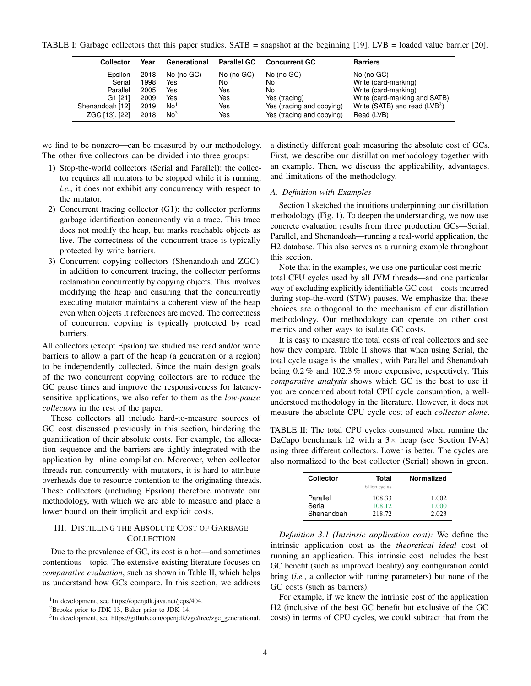<span id="page-3-0"></span>TABLE I: Garbage collectors that this paper studies. SATB = snapshot at the beginning [\[19\]](#page-11-1). LVB = loaded value barrier [\[20\]](#page-11-2).

| <b>Collector</b> | Year | Generational    | <b>Parallel GC</b> | <b>Concurrent GC</b>      | <b>Barriers</b>                 |
|------------------|------|-----------------|--------------------|---------------------------|---------------------------------|
| Epsilon          | 2018 | No (no GC)      | No (no GC)         | No (no GC)                | No (no GC)                      |
| Serial           | 1998 | Yes             | No                 | No                        | Write (card-marking)            |
| Parallel         | 2005 | Yes             | Yes                | No                        | Write (card-marking)            |
| G1 [21]          | 2009 | Yes             | Yes                | Yes (tracing)             | Write (card-marking and SATB)   |
| Shenandoah [12]  | 2019 | No <sup>1</sup> | Yes                | Yes (tracing and copying) | Write (SATB) and read $(LVB^2)$ |
| ZGC [13], [22]   | 2018 | No <sup>3</sup> | Yes                | Yes (tracing and copying) | Read (LVB)                      |

we find to be nonzero—can be measured by our methodology. The other five collectors can be divided into three groups:

- 1) Stop-the-world collectors (Serial and Parallel): the collector requires all mutators to be stopped while it is running, *i.e.*, it does not exhibit any concurrency with respect to the mutator.
- 2) Concurrent tracing collector (G1): the collector performs garbage identification concurrently via a trace. This trace does not modify the heap, but marks reachable objects as live. The correctness of the concurrent trace is typically protected by write barriers.
- 3) Concurrent copying collectors (Shenandoah and ZGC): in addition to concurrent tracing, the collector performs reclamation concurrently by copying objects. This involves modifying the heap and ensuring that the concurrently executing mutator maintains a coherent view of the heap even when objects it references are moved. The correctness of concurrent copying is typically protected by read barriers.

All collectors (except Epsilon) we studied use read and/or write barriers to allow a part of the heap (a generation or a region) to be independently collected. Since the main design goals of the two concurrent copying collectors are to reduce the GC pause times and improve the responsiveness for latencysensitive applications, we also refer to them as the *low-pause collectors* in the rest of the paper.

These collectors all include hard-to-measure sources of GC cost discussed previously in this section, hindering the quantification of their absolute costs. For example, the allocation sequence and the barriers are tightly integrated with the application by inline compilation. Moreover, when collector threads run concurrently with mutators, it is hard to attribute overheads due to resource contention to the originating threads. These collectors (including Epsilon) therefore motivate our methodology, with which we are able to measure and place a lower bound on their implicit and explicit costs.

## <span id="page-3-2"></span>III. DISTILLING THE ABSOLUTE COST OF GARBAGE **COLLECTION**

Due to the prevalence of GC, its cost is a hot—and sometimes contentious—topic. The extensive existing literature focuses on *comparative evaluation*, such as shown in [Table II,](#page-3-1) which helps us understand how GCs compare. In this section, we address

1 In development, see [https://openjdk.java.net/jeps/404.](https://openjdk.java.net/jeps/404)

a distinctly different goal: measuring the absolute cost of GCs. First, we describe our distillation methodology together with an example. Then, we discuss the applicability, advantages, and limitations of the methodology.

## *A. Definition with Examples*

[Section I](#page-0-1) sketched the intuitions underpinning our distillation methodology [\(Fig. 1\)](#page-1-0). To deepen the understanding, we now use concrete evaluation results from three production GCs—Serial, Parallel, and Shenandoah—running a real-world application, the H2 database. This also serves as a running example throughout this section.

Note that in the examples, we use one particular cost metric total CPU cycles used by all JVM threads—and one particular way of excluding explicitly identifiable GC cost—costs incurred during stop-the-word (STW) pauses. We emphasize that these choices are orthogonal to the mechanism of our distillation methodology. Our methodology can operate on other cost metrics and other ways to isolate GC costs.

It is easy to measure the total costs of real collectors and see how they compare. [Table II](#page-3-1) shows that when using Serial, the total cycle usage is the smallest, with Parallel and Shenandoah being 0.2 % and 102.3 % more expensive, respectively. This *comparative analysis* shows which GC is the best to use if you are concerned about total CPU cycle consumption, a wellunderstood methodology in the literature. However, it does not measure the absolute CPU cycle cost of each *collector alone*.

<span id="page-3-1"></span>TABLE II: The total CPU cycles consumed when running the DaCapo benchmark h2 with a  $3\times$  heap (see [Section](#page-5-0) IV-A) using three different collectors. Lower is better. The cycles are also normalized to the best collector (Serial) shown in green.

| <b>Collector</b> | Total<br>billion cycles | <b>Normalized</b> |
|------------------|-------------------------|-------------------|
| Parallel         | 108.33                  | 1.002             |
| Serial           | 108.12                  | 1.000             |
| Shenandoah       | 218.72                  | 2.023             |

*Definition 3.1 (Intrinsic application cost):* We define the intrinsic application cost as the *theoretical ideal* cost of running an application. This intrinsic cost includes the best GC benefit (such as improved locality) any configuration could bring (*i.e.*, a collector with tuning parameters) but none of the GC costs (such as barriers).

For example, if we knew the intrinsic cost of the application H2 (inclusive of the best GC benefit but exclusive of the GC costs) in terms of CPU cycles, we could subtract that from the

<sup>2</sup>Brooks prior to JDK 13, Baker prior to JDK 14.

<sup>&</sup>lt;sup>3</sup>In development, see [https://github.com/openjdk/zgc/tree/zgc](https://github.com/openjdk/zgc/tree/zgc_generational)\_generational.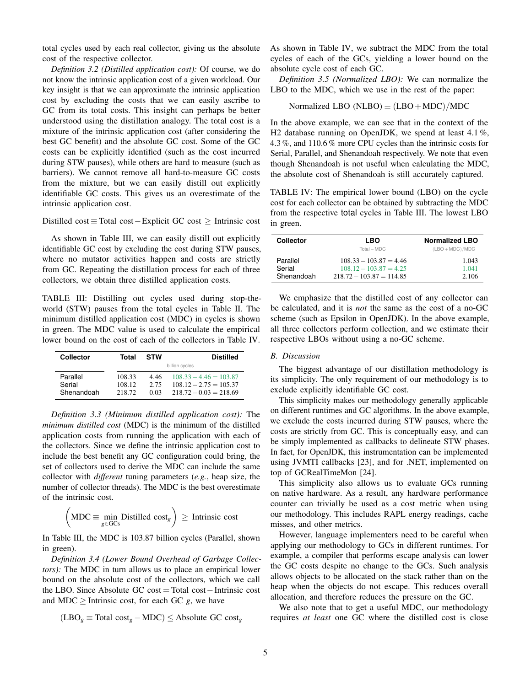total cycles used by each real collector, giving us the absolute cost of the respective collector.

*Definition 3.2 (Distilled application cost):* Of course, we do not know the intrinsic application cost of a given workload. Our key insight is that we can approximate the intrinsic application cost by excluding the costs that we can easily ascribe to GC from its total costs. This insight can perhaps be better understood using the distillation analogy. The total cost is a mixture of the intrinsic application cost (after considering the best GC benefit) and the absolute GC cost. Some of the GC costs can be explicitly identified (such as the cost incurred during STW pauses), while others are hard to measure (such as barriers). We cannot remove all hard-to-measure GC costs from the mixture, but we can easily distill out explicitly identifiable GC costs. This gives us an overestimate of the intrinsic application cost.

#### Distilled cost ≡ Total cost−Explicit GC cost ≥ Intrinsic cost

As shown in [Table III,](#page-4-0) we can easily distill out explicitly identifiable GC cost by excluding the cost during STW pauses, where no mutator activities happen and costs are strictly from GC. Repeating the distillation process for each of three collectors, we obtain three distilled application costs.

<span id="page-4-0"></span>TABLE III: Distilling out cycles used during stop-theworld (STW) pauses from the total cycles in [Table II.](#page-3-1) The minimum distilled application cost (MDC) in cycles is shown in green. The MDC value is used to calculate the empirical lower bound on the cost of each of the collectors in [Table IV.](#page-4-1)

| <b>Collector</b>   | Total            | <b>STW</b>   | <b>Distilled</b>                                     |
|--------------------|------------------|--------------|------------------------------------------------------|
|                    |                  |              | billion cycles                                       |
| Parallel<br>Serial | 108.33<br>108.12 | 4.46<br>2.75 | $108.33 - 4.46 = 103.87$<br>$108.12 - 2.75 = 105.37$ |
| Shenandoah         | 218.72           | 0.03         | $218.72 - 0.03 = 218.69$                             |

*Definition 3.3 (Minimum distilled application cost):* The *minimum distilled cost* (MDC) is the minimum of the distilled application costs from running the application with each of the collectors. Since we define the intrinsic application cost to include the best benefit any GC configuration could bring, the set of collectors used to derive the MDC can include the same collector with *different* tuning parameters (*e.g.*, heap size, the number of collector threads). The MDC is the best overestimate of the intrinsic cost.

$$
\left(\text{MDC} \equiv \min_{g \in \text{GCs}} \text{Distilled cost}_g\right) \ge \text{Intrinsic cost}
$$

In Table [III,](#page-4-0) the MDC is 103.87 billion cycles (Parallel, shown in green).

*Definition 3.4 (Lower Bound Overhead of Garbage Collectors):* The MDC in turn allows us to place an empirical lower bound on the absolute cost of the collectors, which we call the LBO. Since Absolute GC cost = Total cost−Intrinsic cost and MDC  $\geq$  Intrinsic cost, for each GC *g*, we have

$$
(LBO_g \equiv \text{Total cost}_g - \text{MDC}) \le \text{Absolute GC cost}_g
$$

As shown in [Table IV,](#page-4-1) we subtract the MDC from the total cycles of each of the GCs, yielding a lower bound on the absolute cycle cost of each GC.

*Definition 3.5 (Normalized LBO):* We can normalize the LBO to the MDC, which we use in the rest of the paper:

$$
Normalized LBO (NLBO) \equiv (LBO + MDC)/MDC
$$

In the above example, we can see that in the context of the H2 database running on OpenJDK, we spend at least 4.1 %, 4.3 %, and 110.6 % more CPU cycles than the intrinsic costs for Serial, Parallel, and Shenandoah respectively. We note that even though Shenandoah is not useful when calculating the MDC, the absolute cost of Shenandoah is still accurately captured.

<span id="page-4-1"></span>TABLE IV: The empirical lower bound (LBO) on the cycle cost for each collector can be obtained by subtracting the MDC from the respective total cycles in [Table III.](#page-4-0) The lowest LBO in green.

| <b>Collector</b> | LBO<br>$Total - MDC$       | <b>Normalized LBO</b><br>$(LBO + MDC)/MDC$ |
|------------------|----------------------------|--------------------------------------------|
| Parallel         | $108.33 - 103.87 = 4.46$   | 1.043                                      |
| Serial           | $108.12 - 103.87 = 4.25$   | 1.041                                      |
| Shenandoah       | $218.72 - 103.87 = 114.85$ | 2.106                                      |

We emphasize that the distilled cost of any collector can be calculated, and it is *not* the same as the cost of a no-GC scheme (such as Epsilon in OpenJDK). In the above example, all three collectors perform collection, and we estimate their respective LBOs without using a no-GC scheme.

#### *B. Discussion*

The biggest advantage of our distillation methodology is its simplicity. The only requirement of our methodology is to exclude explicitly identifiable GC cost.

This simplicity makes our methodology generally applicable on different runtimes and GC algorithms. In the above example, we exclude the costs incurred during STW pauses, where the costs are strictly from GC. This is conceptually easy, and can be simply implemented as callbacks to delineate STW phases. In fact, for OpenJDK, this instrumentation can be implemented using JVMTI callbacks [\[23\]](#page-11-5), and for .NET, implemented on top of GCRealTimeMon [\[24\]](#page-11-6).

This simplicity also allows us to evaluate GCs running on native hardware. As a result, any hardware performance counter can trivially be used as a cost metric when using our methodology. This includes RAPL energy readings, cache misses, and other metrics.

However, language implementers need to be careful when applying our methodology to GCs in different runtimes. For example, a compiler that performs escape analysis can lower the GC costs despite no change to the GCs. Such analysis allows objects to be allocated on the stack rather than on the heap when the objects do not escape. This reduces overall allocation, and therefore reduces the pressure on the GC.

We also note that to get a useful MDC, our methodology requires *at least* one GC where the distilled cost is close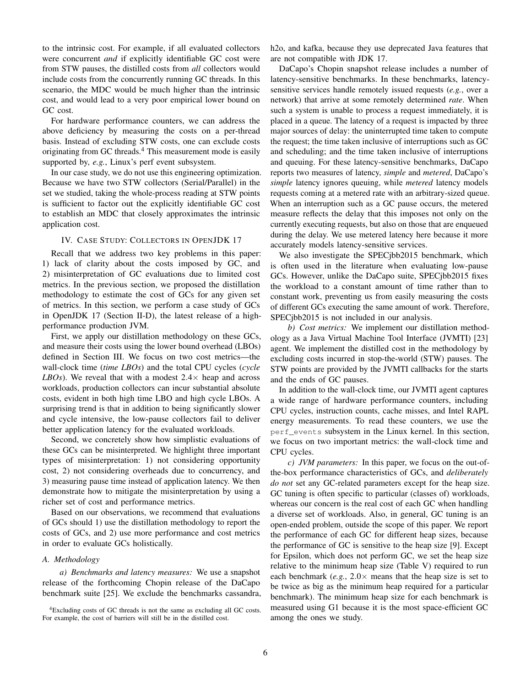to the intrinsic cost. For example, if all evaluated collectors were concurrent *and* if explicitly identifiable GC cost were from STW pauses, the distilled costs from *all* collectors would include costs from the concurrently running GC threads. In this scenario, the MDC would be much higher than the intrinsic cost, and would lead to a very poor empirical lower bound on GC cost.

For hardware performance counters, we can address the above deficiency by measuring the costs on a per-thread basis. Instead of excluding STW costs, one can exclude costs originating from GC threads.<sup>[4](#page-5-1)</sup> This measurement mode is easily supported by, *e.g.*, Linux's perf event subsystem.

In our case study, we do not use this engineering optimization. Because we have two STW collectors (Serial/Parallel) in the set we studied, taking the whole-process reading at STW points is sufficient to factor out the explicitly identifiable GC cost to establish an MDC that closely approximates the intrinsic application cost.

#### IV. CASE STUDY: COLLECTORS IN OPENJDK 17

Recall that we address two key problems in this paper: 1) lack of clarity about the costs imposed by GC, and 2) misinterpretation of GC evaluations due to limited cost metrics. In the previous section, we proposed the distillation methodology to estimate the cost of GCs for any given set of metrics. In this section, we perform a case study of GCs in OpenJDK 17 [\(Section](#page-2-0) II-D), the latest release of a highperformance production JVM.

First, we apply our distillation methodology on these GCs, and measure their costs using the lower bound overhead (LBOs) defined in [Section III.](#page-3-2) We focus on two cost metrics—the wall-clock time (*time LBOs*) and the total CPU cycles (*cycle LBOs*). We reveal that with a modest  $2.4 \times$  heap and across workloads, production collectors can incur substantial absolute costs, evident in both high time LBO and high cycle LBOs. A surprising trend is that in addition to being significantly slower and cycle intensive, the low-pause collectors fail to deliver better application latency for the evaluated workloads.

Second, we concretely show how simplistic evaluations of these GCs can be misinterpreted. We highlight three important types of misinterpretation: 1) not considering opportunity cost, 2) not considering overheads due to concurrency, and 3) measuring pause time instead of application latency. We then demonstrate how to mitigate the misinterpretation by using a richer set of cost and performance metrics.

Based on our observations, we recommend that evaluations of GCs should 1) use the distillation methodology to report the costs of GCs, and 2) use more performance and cost metrics in order to evaluate GCs holistically.

#### <span id="page-5-0"></span>*A. Methodology*

*a) Benchmarks and latency measures:* We use a snapshot release of the forthcoming Chopin release of the DaCapo benchmark suite [\[25\]](#page-11-7). We exclude the benchmarks cassandra, h2o, and kafka, because they use deprecated Java features that are not compatible with JDK 17.

DaCapo's Chopin snapshot release includes a number of latency-sensitive benchmarks. In these benchmarks, latencysensitive services handle remotely issued requests (*e.g.*, over a network) that arrive at some remotely determined *rate*. When such a system is unable to process a request immediately, it is placed in a queue. The latency of a request is impacted by three major sources of delay: the uninterrupted time taken to compute the request; the time taken inclusive of interruptions such as GC and scheduling; and the time taken inclusive of interruptions and queuing. For these latency-sensitive benchmarks, DaCapo reports two measures of latency, *simple* and *metered*, DaCapo's *simple* latency ignores queuing, while *metered* latency models requests coming at a metered rate with an arbitrary-sized queue. When an interruption such as a GC pause occurs, the metered measure reflects the delay that this imposes not only on the currently executing requests, but also on those that are enqueued during the delay. We use metered latency here because it more accurately models latency-sensitive services.

We also investigate the SPECjbb2015 benchmark, which is often used in the literature when evaluating low-pause GCs. However, unlike the DaCapo suite, SPECjbb2015 fixes the workload to a constant amount of time rather than to constant work, preventing us from easily measuring the costs of different GCs executing the same amount of work. Therefore, SPECjbb2015 is not included in our analysis.

*b) Cost metrics:* We implement our distillation methodology as a Java Virtual Machine Tool Interface (JVMTI) [\[23\]](#page-11-5) agent. We implement the distilled cost in the methodology by excluding costs incurred in stop-the-world (STW) pauses. The STW points are provided by the JVMTI callbacks for the starts and the ends of GC pauses.

In addition to the wall-clock time, our JVMTI agent captures a wide range of hardware performance counters, including CPU cycles, instruction counts, cache misses, and Intel RAPL energy measurements. To read these counters, we use the perf\_events subsystem in the Linux kernel. In this section, we focus on two important metrics: the wall-clock time and CPU cycles.

*c) JVM parameters:* In this paper, we focus on the out-ofthe-box performance characteristics of GCs, and *deliberately do not* set any GC-related parameters except for the heap size. GC tuning is often specific to particular (classes of) workloads, whereas our concern is the real cost of each GC when handling a diverse set of workloads. Also, in general, GC tuning is an open-ended problem, outside the scope of this paper. We report the performance of each GC for different heap sizes, because the performance of GC is sensitive to the heap size [\[9\]](#page-10-14). Except for Epsilon, which does not perform GC, we set the heap size relative to the minimum heap size [\(Table V\)](#page-6-0) required to run each benchmark (*e.g.*,  $2.0 \times$  means that the heap size is set to be twice as big as the minimum heap required for a particular benchmark). The minimum heap size for each benchmark is measured using G1 because it is the most space-efficient GC among the ones we study.

<span id="page-5-1"></span><sup>&</sup>lt;sup>4</sup>Excluding costs of GC threads is not the same as excluding all GC costs. For example, the cost of barriers will still be in the distilled cost.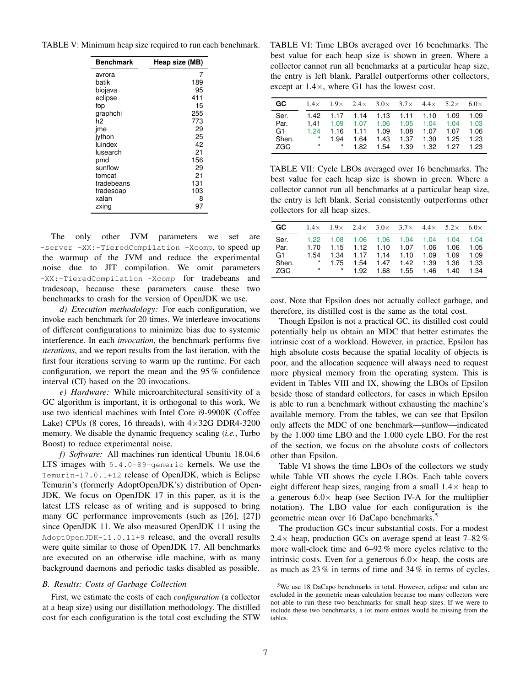<span id="page-6-0"></span>TABLE V: Minimum heap size required to run each benchmark.

| <b>Benchmark</b> | Heap size (MB) |
|------------------|----------------|
| avrora           | 7              |
| batik            | 189            |
| biojava          | 95             |
| eclipse          | 411            |
| fop              | 15             |
| graphchi         | 255            |
| h2               | 773            |
| jme              | 29             |
| ivthon           | 25             |
| luindex          | 42             |
| lusearch         | 21             |
| pmd              | 156            |
| sunflow          | 29             |
| tomcat           | 21             |
| tradebeans       | 131            |
| tradesoap        | 103            |
| xalan            | 8              |
| zxing            | 97             |

The only other JVM parameters we set are -server -XX:-TieredCompilation -Xcomp, to speed up the warmup of the JVM and reduce the experimental noise due to JIT compilation. We omit parameters -XX:-TieredCompilation -Xcomp for tradebeans and tradesoap, because these parameters cause these two benchmarks to crash for the version of OpenJDK we use.

*d) Execution methodology:* For each configuration, we invoke each benchmark for 20 times. We interleave invocations of different configurations to minimize bias due to systemic interference. In each *invocation*, the benchmark performs five *iterations*, and we report results from the last iteration, with the first four iterations serving to warm up the runtime. For each configuration, we report the mean and the 95 % confidence interval (CI) based on the 20 invocations.

*e) Hardware:* While microarchitectural sensitivity of a GC algorithm is important, it is orthogonal to this work. We use two identical machines with Intel Core i9-9900K (Coffee Lake) CPUs (8 cores, 16 threads), with  $4 \times 32G$  DDR4-3200 memory. We disable the dynamic frequency scaling (*i.e.*, Turbo Boost) to reduce experimental noise.

*f) Software:* All machines run identical Ubuntu 18.04.6 LTS images with 5.4.0-89-generic kernels. We use the Temurin-17.0.1+12 release of OpenJDK, which is Eclipse Temurin's (formerly AdoptOpenJDK's) distribution of Open-JDK. We focus on OpenJDK 17 in this paper, as it is the latest LTS release as of writing and is supposed to bring many GC performance improvements (such as [\[26\]](#page-11-8), [\[27\]](#page-11-9)) since OpenJDK 11. We also measured OpenJDK 11 using the AdoptOpenJDK-11.0.11+9 release, and the overall results were quite similar to those of OpenJDK 17. All benchmarks are executed on an otherwise idle machine, with as many background daemons and periodic tasks disabled as possible.

## *B. Results: Costs of Garbage Collection*

First, we estimate the costs of each *configuration* (a collector at a heap size) using our distillation methodology. The distilled cost for each configuration is the total cost excluding the STW

<span id="page-6-1"></span>TABLE VI: Time LBOs averaged over 16 benchmarks. The best value for each heap size is shown in green. Where a collector cannot run all benchmarks at a particular heap size, the entry is left blank. Parallel outperforms other collectors, except at 1.4×, where G1 has the lowest cost.

| GC.   |         |      | $1.4\times$ $1.9\times$ $2.4\times$ $3.0\times$ $3.7\times$ $4.4\times$ $5.2\times$ 6.0 $\times$ |  |      |
|-------|---------|------|--------------------------------------------------------------------------------------------------|--|------|
| Ser.  |         |      | 1.42 1.17 1.14 1.13 1.11 1.10 1.09 1.09                                                          |  |      |
| Par.  |         |      | 1.41  1.09  1.07  1.06  1.05  1.04  1.04  1.03                                                   |  |      |
| G1    | 1.24    |      | 1.16  1.11  1.09  1.08  1.07  1.07  1.06                                                         |  |      |
| Shen. | $\star$ | 1.94 | 1.64 1.43 1.37 1.30 1.25                                                                         |  | 1.23 |
| ZGC   |         |      | * * 1.82 1.54 1.39 1.32 1.27 1.23                                                                |  |      |

TABLE VII: Cycle LBOs averaged over 16 benchmarks. The best value for each heap size is shown in green. Where a collector cannot run all benchmarks at a particular heap size, the entry is left blank. Serial consistently outperforms other collectors for all heap sizes.

| GC.            |         |        |  | $1.4\times$ $1.9\times$ $2.4\times$ $3.0\times$ $3.7\times$ $4.4\times$ $5.2\times$ 6.0 $\times$ |  |      |
|----------------|---------|--------|--|--------------------------------------------------------------------------------------------------|--|------|
| Ser.           |         |        |  | 1.22  1.08  1.06  1.06  1.04  1.04  1.04  1.04                                                   |  |      |
| Par.           | 1.70    |        |  | 1.15  1.12  1.10  1.07  1.06  1.06  1.05                                                         |  |      |
| G <sub>1</sub> | 1.54    |        |  | 1.34 1.17 1.14 1.10 1.09 1.09 1.09                                                               |  |      |
| Shen.          | $\star$ | 1.75   |  | 1.54  1.47  1.42  1.39  1.36                                                                     |  | 1.33 |
| ZGC            | $\ast$  | $\ast$ |  | 1.92  1.68  1.55  1.46  1.40  1.34                                                               |  |      |

cost. Note that Epsilon does not actually collect garbage, and therefore, its distilled cost is the same as the total cost.

Though Epsilon is not a practical GC, its distilled cost could potentially help us obtain an MDC that better estimates the intrinsic cost of a workload. However, in practice, Epsilon has high absolute costs because the spatial locality of objects is poor, and the allocation sequence will always need to request more physical memory from the operating system. This is evident in Tables [VIII](#page-7-0) and [IX,](#page-8-1) showing the LBOs of Epsilon beside those of standard collectors, for cases in which Epsilon is able to run a benchmark without exhausting the machine's available memory. From the tables, we can see that Epsilon only affects the MDC of one benchmark—sunflow—indicated by the 1.000 time LBO and the 1.000 cycle LBO. For the rest of the section, we focus on the absolute costs of collectors other than Epsilon.

[Table VI](#page-6-1) shows the time LBOs of the collectors we study while [Table VII](#page-6-1) shows the cycle LBOs. Each table covers eight different heap sizes, ranging from a small  $1.4\times$  heap to a generous  $6.0 \times$  heap (see [Section](#page-5-0) IV-A for the multiplier notation). The LBO value for each configuration is the geometric mean over 16 DaCapo benchmarks.<sup>[5](#page-6-2)</sup>

The production GCs incur substantial costs. For a modest 2.4 $\times$  heap, production GCs on average spend at least 7–82% more wall-clock time and 6–92 % more cycles relative to the intrinsic costs. Even for a generous  $6.0 \times$  heap, the costs are as much as 23 % in terms of time and 34 % in terms of cycles.

<span id="page-6-2"></span><sup>5</sup>We use 18 DaCapo benchmarks in total. However, eclipse and xalan are excluded in the geometric mean calculation because too many collectors were not able to run these two benchmarks for small heap sizes. If we were to include these two benchmarks, a lot more entries would be missing from the tables.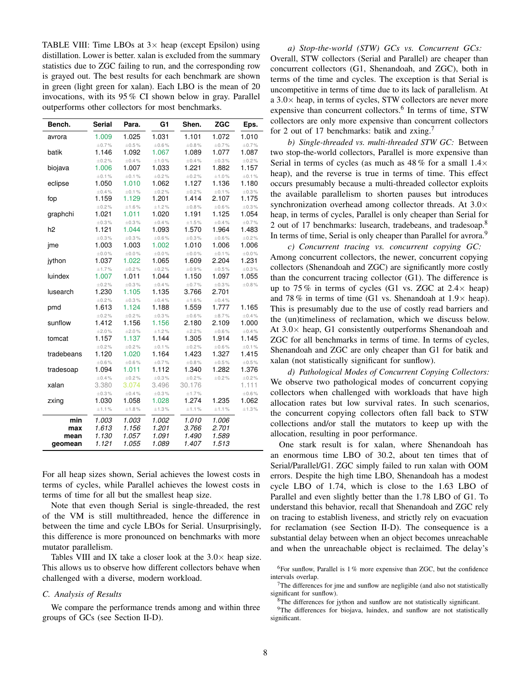<span id="page-7-0"></span>TABLE VIII: Time LBOs at  $3 \times$  heap (except Epsilon) using distillation. Lower is better. xalan is excluded from the summary statistics due to ZGC failing to run, and the corresponding row is grayed out. The best results for each benchmark are shown in green (light green for xalan). Each LBO is the mean of 20 invocations, with its 95 % CI shown below in gray. Parallel outperforms other collectors for most benchmarks.

| Bench.     | <b>Serial</b>        | Para.                | G <sub>1</sub>        | Shen.                 | <b>ZGC</b>           | Eps.                  |
|------------|----------------------|----------------------|-----------------------|-----------------------|----------------------|-----------------------|
| avrora     | 1.009                | 1.025                | 1.031                 | 1.101                 | 1.072                | 1.010                 |
|            | $\pm 0.7\%$          | $\pm 0.5\%$          | $\pm 0.6 \%$          | $\pm 0.8 \%$          | $\pm 0.7\%$          | $\pm 0.7\%$           |
| batik      | 1.146                | 1.092                | 1.067                 | 1.089                 | 1.077                | 1.087                 |
|            | $\pm 0.2 \%$         | $\pm 0.4\%$          | ±1.0%                 | $\pm 0.4\%$           | $\pm 0.3\%$          | $\pm 0.2 \%$          |
| biojava    | 1.006                | 1.007                | 1.033                 | 1.221                 | 1.882                | 1.157                 |
| eclipse    | ±0.1%<br>1.050       | ±0.1%<br>1.010       | $\pm 0.2 \%$<br>1.062 | $\pm 0.2 \%$<br>1.127 | ±1.0%<br>1.136       | ±0.1%<br>1.180        |
|            | $\pm 0.4 \%$         | ±0.1%                | $\pm 0.2 \%$          | $\pm 0.2 \%$          | ±0.1%                | $\pm 0.3 \%$          |
| fop        | 1.159                | 1.129                | 1.201                 | 1.414                 | 2.107                | 1.175                 |
|            | $\pm 0.2 \%$         | ±1.6%                | ±1.2%                 | $\pm 0.8 \%$          | $\pm 0.6 \%$         | $\pm 0.3 \%$          |
| graphchi   | 1.021                | 1.011                | 1.020                 | 1.191                 | 1.125                | 1.054                 |
|            | $\pm 0.3 \%$         | $\pm 0.3\%$          | $\pm 0.4\%$           | $\pm 1.5 \%$          | $\pm 0.4 \%$         | $\pm 0.7 \%$          |
| h2         | 1.121                | 1.044                | 1.093                 | 1.570                 | 1.964                | 1.483                 |
|            | $\pm 0.3\%$          | $\pm 0.3\%$          | $\pm 0.6\%$           | $\pm 0.3\%$           | $\pm 0.6\%$          | $\pm 0.2\%$           |
| jme        | 1.003                | 1.003                | 1.002                 | 1.010                 | 1.006                | 1.006                 |
|            | ±0.0%                | $\pm 0.0 \%$         | ±0.0%                 | ±0.0%                 | ±0.1%                | $\pm 0.0 \%$          |
| jython     | 1.037<br>±1.7%       | 1.022<br>$\pm 0.2\%$ | 1.065<br>$\pm 0.2\%$  | 1.609<br>$\pm 0.9\%$  | 2.204<br>$\pm 0.5\%$ | 1.231<br>$\pm 0.3 \%$ |
| luindex    | 1.007                | 1.011                | 1.044                 | 1.150                 | 1.097                | 1.055                 |
|            | $\pm 0.2 \%$         | $\pm 0.3\%$          | $\pm 0.4\%$           | $\pm 0.7\%$           | $\pm 0.3\%$          | $\pm 0.8 \%$          |
| lusearch   | 1.230                | 1.105                | 1.135                 | 3.766                 | 2.701                |                       |
|            | $\pm 0.2 \%$         | $\pm 0.3\%$          | $\pm 0.4\%$           | ±1.6%                 | $\pm 0.4\%$          |                       |
| pmd        | 1.613                | 1.124                | 1.188                 | 1.559                 | 1.777                | 1.165                 |
|            | $\pm 0.2\%$          | $\pm 0.2\%$          | $\pm 0.3\%$           | $\pm 0.6 \%$          | $\pm 8.7 \%$         | $\pm 0.4 \%$          |
| sunflow    | 1.412                | 1.156                | 1.156                 | 2.180                 | 2.109                | 1.000                 |
|            | ±2.0%                | $\pm 2.0 \%$         | ±1.2%                 | $\pm 2.2\%$           | $\pm 0.6\%$          | $\pm 0.4\%$           |
| tomcat     | 1.157                | 1.137                | 1.144                 | 1.305                 | 1.914                | 1.145                 |
| tradebeans | $\pm 0.2\%$<br>1.120 | $\pm 0.2\%$<br>1.020 | ±0.1%<br>1.164        | $\pm 0.2\%$<br>1.423  | $\pm 0.6\%$<br>1.327 | ±0.1%<br>1.415        |
|            | $\pm 0.6\%$          | $\pm 0.6\%$          | $\pm 0.7\%$           | $\pm 0.8\%$           | $\pm 0.5\%$          | $\pm 0.5\%$           |
| tradesoap  | 1.094                | 1.011                | 1.112                 | 1.340                 | 1.282                | 1.376                 |
|            | $\pm 0.4 \%$         | $\pm 0.2\%$          | $\pm 0.3 \%$          | $\pm 0.2\%$           | $\pm 0.2\%$          | $\pm 0.2 \%$          |
| xalan      | 3.380                | 3.074                | 3.496                 | 30.176                |                      | 1.111                 |
|            | $\pm 0.3\%$          | $\pm 0.4 \%$         | $\pm 0.3\%$           | ±1.7%                 |                      | $\pm 0.6\,\%$         |
| zxing      | 1.030                | 1.058                | 1.028                 | 1.274                 | 1.235                | 1.062                 |
|            | ±1.1%                | ±1.8%                | ±1.3%                 | ±1.1%                 | ±1.1%                | ±1.3%                 |
| min        | 1.003                | 1.003                | 1.002                 | 1.010                 | 1.006                |                       |
| max        | 1.613                | 1.156                | 1.201                 | 3.766                 | 2.701                |                       |
| mean       | 1.130                | 1.057                | 1.091                 | 1.490                 | 1.589                |                       |
| geomean    | 1.121                | 1.055                | 1.089                 | 1.407                 | 1.513                |                       |

For all heap sizes shown, Serial achieves the lowest costs in terms of cycles, while Parallel achieves the lowest costs in terms of time for all but the smallest heap size.

Note that even though Serial is single-threaded, the rest of the VM is still multithreaded, hence the difference in between the time and cycle LBOs for Serial. Unsurprisingly, this difference is more pronounced on benchmarks with more mutator parallelism.

Tables [VIII](#page-7-0) and [IX](#page-8-1) take a closer look at the  $3.0\times$  heap size. This allows us to observe how different collectors behave when challenged with a diverse, modern workload.

## *C. Analysis of Results*

We compare the performance trends among and within three groups of GCs (see [Section II-D\)](#page-2-0).

*a) Stop-the-world (STW) GCs vs. Concurrent GCs:* Overall, STW collectors (Serial and Parallel) are cheaper than concurrent collectors (G1, Shenandoah, and ZGC), both in terms of the time and cycles. The exception is that Serial is uncompetitive in terms of time due to its lack of parallelism. At a  $3.0\times$  heap, in terms of cycles, STW collectors are never more expensive than concurrent collectors.<sup>[6](#page-7-1)</sup> In terms of time, STW collectors are only more expensive than concurrent collectors for 2 out of 1[7](#page-7-2) benchmarks: batik and zxing.<sup>7</sup>

*b) Single-threaded vs. multi-threaded STW GC:* Between two stop-the-world collectors, Parallel is more expensive than Serial in terms of cycles (as much as  $48\%$  for a small  $1.4\times$ heap), and the reverse is true in terms of time. This effect occurs presumably because a multi-threaded collector exploits the available parallelism to shorten pauses but introduces synchronization overhead among collector threads. At  $3.0\times$ heap, in terms of cycles, Parallel is only cheaper than Serial for 2 out of 17 benchmarks: lusearch, tradebeans, and tradesoap.<sup>[8](#page-7-3)</sup> In terms of time, Serial is only cheaper than Parallel for avrora.<sup>[9](#page-7-4)</sup>

*c) Concurrent tracing vs. concurrent copying GC:* Among concurrent collectors, the newer, concurrent copying collectors (Shenandoah and ZGC) are significantly more costly than the concurrent tracing collector (G1). The difference is up to 75 % in terms of cycles (G1 vs. ZGC at  $2.4\times$  heap) and 78 % in terms of time (G1 vs. Shenandoah at  $1.9\times$  heap). This is presumably due to the use of costly read barriers and the (un)timeliness of reclamation, which we discuss below. At  $3.0\times$  heap, G1 consistently outperforms Shenandoah and ZGC for all benchmarks in terms of time. In terms of cycles, Shenandoah and ZGC are only cheaper than G1 for batik and xalan (not statistically significant for sunflow).

*d) Pathological Modes of Concurrent Copying Collectors:* We observe two pathological modes of concurrent copying collectors when challenged with workloads that have high allocation rates but low survival rates. In such scenarios, the concurrent copying collectors often fall back to STW collections and/or stall the mutators to keep up with the allocation, resulting in poor performance.

One stark result is for xalan, where Shenandoah has an enormous time LBO of 30.2, about ten times that of Serial/Parallel/G1. ZGC simply failed to run xalan with OOM errors. Despite the high time LBO, Shenandoah has a modest cycle LBO of 1.74, which is close to the 1.63 LBO of Parallel and even slightly better than the 1.78 LBO of G1. To understand this behavior, recall that Shenandoah and ZGC rely on tracing to establish liveness, and strictly rely on evacuation for reclamation (see [Section](#page-2-0) II-D). The consequence is a substantial delay between when an object becomes unreachable and when the unreachable object is reclaimed. The delay's

<span id="page-7-1"></span><sup>6</sup>For sunflow, Parallel is  $1\%$  more expensive than ZGC, but the confidence intervals overlap.

<span id="page-7-2"></span> $7$ The differences for jme and sunflow are negligible (and also not statistically significant for sunflow).

<span id="page-7-4"></span><span id="page-7-3"></span><sup>8</sup>The differences for jython and sunflow are not statistically significant.

<sup>9</sup>The differences for biojava, luindex, and sunflow are not statistically significant.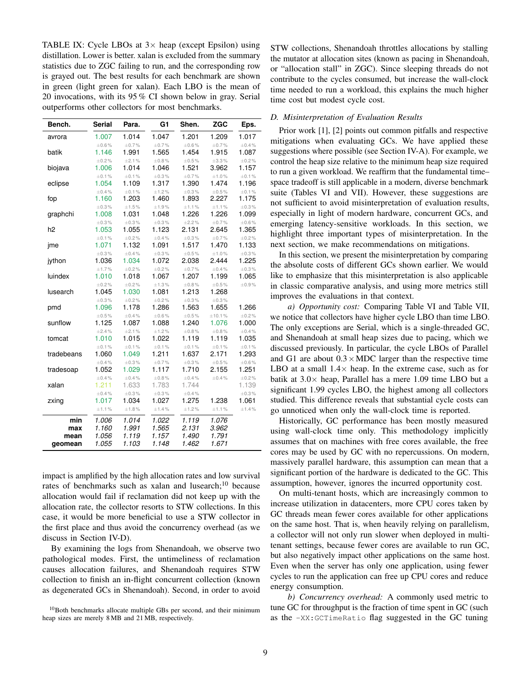<span id="page-8-1"></span>TABLE IX: Cycle LBOs at  $3 \times$  heap (except Epsilon) using distillation. Lower is better. xalan is excluded from the summary statistics due to ZGC failing to run, and the corresponding row is grayed out. The best results for each benchmark are shown in green (light green for xalan). Each LBO is the mean of 20 invocations, with its 95 % CI shown below in gray. Serial outperforms other collectors for most benchmarks.

| Bench.         | <b>Serial</b>        | Para.          | G1             | Shen.                 | <b>ZGC</b>            | Eps.           |
|----------------|----------------------|----------------|----------------|-----------------------|-----------------------|----------------|
| avrora         | 1.007                | 1.014          | 1.047          | 1.201                 | 1.209                 | 1.017          |
|                | $\pm 0.6\%$          | $\pm 0.7 \%$   | $\pm 0.7 \%$   | $\pm 0.6 \%$          | $\pm 0.7 \%$          | $\pm 0.4 \%$   |
| batik          | 1.146                | 1.991          | 1.565          | 1.454                 | 1.915                 | 1.087          |
|                | $\pm 0.2\%$          | ±2.1%          | $\pm 0.8 \%$   | $\pm 0.5 \%$          | $\pm 3.3 \%$          | $\pm 0.2\%$    |
| biojava        | 1.006                | 1.014          | 1.046          | 1.521                 | 3.962                 | 1.157          |
|                | ±0.1%                | ±0.1%          | $\pm 0.3 \%$   | $\pm 0.7\%$           | ±1.0%                 | ±0.1%          |
| eclipse        | 1.054                | 1.109          | 1.317          | 1.390                 | 1.474                 | 1.196          |
| fop            | $\pm 0.4\%$<br>1.160 | ±0.1%<br>1.203 | ±1.2%<br>1.460 | $\pm 0.3 \%$<br>1.893 | $\pm 0.5 \%$<br>2.227 | ±0.1%<br>1.175 |
|                | $\pm 0.3\%$          | ±1.5%          | ±1.9%          | ±1.1%                 | ±1.1%                 | $\pm 0.3 \%$   |
| graphchi       | 1.008                | 1.031          | 1.048          | 1.226                 | 1.226                 | 1.099          |
|                | $\pm 0.3\%$          | $\pm 0.3 \%$   | $\pm 0.3 \%$   | ±2.2%                 | $\pm 0.7 \%$          | $\pm 0.6 \%$   |
| h <sub>2</sub> | 1.053                | 1.055          | 1.123          | 2.131                 | 2.645                 | 1.365          |
|                | ±0.1%                | $\pm 0.2\%$    | $\pm 0.4 \%$   | $\pm 0.3 \%$          | $\pm 0.7 \%$          | $\pm 0.2\%$    |
| jme            | 1.071                | 1.132          | 1.091          | 1.517                 | 1.470                 | 1.133          |
|                | $\pm 0.3\%$          | $\pm 0.4\%$    | $\pm 0.3 \%$   | $\pm 0.5\%$           | ±1.0%                 | $\pm 0.3 \%$   |
| jython         | 1.036                | 1.034          | 1.072          | 2.038                 | 2.444                 | 1.225          |
|                | ±1.7%                | $\pm 0.2 \%$   | $\pm 0.2 \%$   | $\pm 0.7 \%$          | $\pm 0.4 \%$          | $\pm 0.3 \%$   |
| luindex        | 1.010                | 1.018          | 1.067          | 1.207                 | 1.199                 | 1.065          |
|                | $\pm 0.2\%$          | $\pm 0.2\%$    | ±1.3%          | $\pm 0.8 \%$          | $\pm 0.5 \%$          | $\pm 0.9 \%$   |
| lusearch       | 1.045                | 1.030          | 1.081          | 1.213                 | 1.268                 |                |
|                | $\pm 0.3\%$          | $\pm 0.2\%$    | $\pm 0.2 \%$   | $\pm 0.3 \%$          | $\pm 0.3 \%$          |                |
| pmd            | 1.096                | 1.178          | 1.286          | 1.563                 | 1.655                 | 1.266          |
|                | $\pm 0.5\%$          | $\pm 0.4\%$    | $\pm 0.6\%$    | $\pm 0.5\%$           | ±10.1%                | $\pm 0.2\%$    |
| sunflow        | 1.125                | 1.087          | 1.088          | 1.240                 | 1.076                 | 1.000          |
|                | $\pm 2.4 \%$         | ±2.1%          | ±1.2%          | $\pm 0.8 \%$          | $\pm 0.8 \%$          | $\pm 0.4 \%$   |
| tomcat         | 1.010                | 1.015          | 1.022<br>±0.1% | 1.119                 | 1.119                 | 1.035          |
| tradebeans     | ±0.1%<br>1.060       | ±0.1%<br>1.049 | 1.211          | ±0.1%<br>1.637        | ±0.1%<br>2.171        | ±0.1%<br>1.293 |
|                | $\pm 0.4 \%$         | $\pm 0.3 \%$   | $\pm 0.7 \%$   | $\pm 0.3 \%$          | $\pm 0.5\%$           | $\pm 0.6 \%$   |
| tradesoap      | 1.052                | 1.029          | 1.117          | 1.710                 | 2.155                 | 1.251          |
|                | $\pm 0.4 \%$         | $\pm 0.4 \%$   | $\pm 0.8 \%$   | $\pm 0.4 \%$          | $\pm 0.4 \%$          | $\pm 0.2 \%$   |
| xalan          | 1.211                | 1.633          | 1.783          | 1.744                 |                       | 1.139          |
|                | $\pm 0.4\%$          | $\pm 0.3 \%$   | $\pm 0.3 \%$   | $\pm 0.4 \%$          |                       | $\pm 0.3 \%$   |
| zxing          | 1.017                | 1.034          | 1.027          | 1.275                 | 1.238                 | 1.061          |
|                | ±1.1%                | ±1.8%          | ±1.4%          | ±1.2%                 | ±1.1%                 | ±1.4%          |
| min            | 1.006                | 1.014          | 1.022          | 1.119                 | 1.076                 |                |
| max            | 1.160                | 1.991          | 1.565          | 2.131                 | 3.962                 |                |
| mean           | 1.056                | 1.119          | 1.157          | 1.490                 | 1.791                 |                |
| geomean        | 1.055                | 1.103          | 1.148          | 1.462                 | 1.671                 |                |

impact is amplified by the high allocation rates and low survival rates of benchmarks such as xalan and lusearch; $^{10}$  $^{10}$  $^{10}$  because allocation would fail if reclamation did not keep up with the allocation rate, the collector resorts to STW collections. In this case, it would be more beneficial to use a STW collector in the first place and thus avoid the concurrency overhead (as we discuss in [Section IV-D\)](#page-8-0).

By examining the logs from Shenandoah, we observe two pathological modes. First, the untimeliness of reclamation causes allocation failures, and Shenandoah requires STW collection to finish an in-flight concurrent collection (known as degenerated GCs in Shenandoah). Second, in order to avoid

<span id="page-8-2"></span> $10$ Both benchmarks allocate multiple GBs per second, and their minimum heap sizes are merely 8 MB and 21 MB, respectively.

STW collections, Shenandoah throttles allocations by stalling the mutator at allocation sites (known as pacing in Shenandoah, or "allocation stall" in ZGC). Since sleeping threads do not contribute to the cycles consumed, but increase the wall-clock time needed to run a workload, this explains the much higher time cost but modest cycle cost.

## <span id="page-8-0"></span>*D. Misinterpretation of Evaluation Results*

Prior work [\[1\]](#page-10-0), [\[2\]](#page-10-8) points out common pitfalls and respective mitigations when evaluating GCs. We have applied these suggestions where possible (see [Section](#page-5-0) IV-A). For example, we control the heap size relative to the minimum heap size required to run a given workload. We reaffirm that the fundamental time– space tradeoff is still applicable in a modern, diverse benchmark suite (Tables [VI](#page-6-1) and [VII\)](#page-6-1). However, these suggestions are not sufficient to avoid misinterpretation of evaluation results, especially in light of modern hardware, concurrent GCs, and emerging latency-sensitive workloads. In this section, we highlight three important types of misinterpretation. In the next section, we make recommendations on mitigations.

In this section, we present the misinterpretation by comparing the absolute costs of different GCs shown earlier. We would like to emphasize that this misinterpretation is also applicable in classic comparative analysis, and using more metrics still improves the evaluations in that context.

*a) Opportunity cost:* Comparing [Table VI](#page-6-1) and [Table VII,](#page-6-1) we notice that collectors have higher cycle LBO than time LBO. The only exceptions are Serial, which is a single-threaded GC, and Shenandoah at small heap sizes due to pacing, which we discussed previously. In particular, the cycle LBOs of Parallel and G1 are about  $0.3 \times \text{MDC}$  larger than the respective time LBO at a small  $1.4\times$  heap. In the extreme case, such as for batik at  $3.0\times$  heap, Parallel has a mere 1.09 time LBO but a significant 1.99 cycles LBO, the highest among all collectors studied. This difference reveals that substantial cycle costs can go unnoticed when only the wall-clock time is reported.

Historically, GC performance has been mostly measured using wall-clock time only. This methodology implicitly assumes that on machines with free cores available, the free cores may be used by GC with no repercussions. On modern, massively parallel hardware, this assumption can mean that a significant portion of the hardware is dedicated to the GC. This assumption, however, ignores the incurred opportunity cost.

On multi-tenant hosts, which are increasingly common to increase utilization in datacenters, more CPU cores taken by GC threads mean fewer cores available for other applications on the same host. That is, when heavily relying on parallelism, a collector will not only run slower when deployed in multitenant settings, because fewer cores are available to run GC, but also negatively impact other applications on the same host. Even when the server has only one application, using fewer cycles to run the application can free up CPU cores and reduce energy consumption.

*b) Concurrency overhead:* A commonly used metric to tune GC for throughput is the fraction of time spent in GC (such as the -XX:GCTimeRatio flag suggested in the GC tuning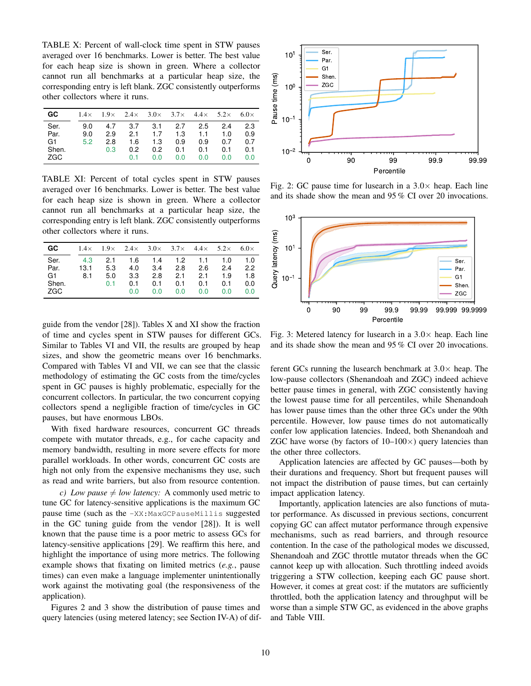<span id="page-9-0"></span>TABLE X: Percent of wall-clock time spent in STW pauses averaged over 16 benchmarks. Lower is better. The best value for each heap size is shown in green. Where a collector cannot run all benchmarks at a particular heap size, the corresponding entry is left blank. ZGC consistently outperforms other collectors where it runs.

| GC.   |     |     |               |               |         |     | $1.4\times$ $1.9\times$ $2.4\times$ $3.0\times$ $3.7\times$ $4.4\times$ $5.2\times$ 6.0 $\times$ |     |
|-------|-----|-----|---------------|---------------|---------|-----|--------------------------------------------------------------------------------------------------|-----|
| Ser.  | 9.0 | 4.7 | 3.7           |               | 3.1 2.7 | 2.5 | 2.4                                                                                              | 2.3 |
| Par.  | 9.0 | 2.9 | 2.1           | 1.7           | 1.3     | 1.1 | 1.0                                                                                              | 0.9 |
| G1.   | 5.2 | 2.8 | 1.6           | 1.3           | 0.9     | 0.9 | 0.7                                                                                              | 0.7 |
| Shen. |     | 0.3 | $0.2^{\circ}$ | $0.2^{\circ}$ | 0.1     | 0.1 | 0.1                                                                                              | 0.1 |
| ZGC   |     |     | 0.1           | 0.0           | 0.0     | 0.0 | 0.0                                                                                              | 0.0 |

TABLE XI: Percent of total cycles spent in STW pauses averaged over 16 benchmarks. Lower is better. The best value for each heap size is shown in green. Where a collector cannot run all benchmarks at a particular heap size, the corresponding entry is left blank. ZGC consistently outperforms other collectors where it runs.

| <b>GC</b> | $1.4\times$ |     | $1.9 \times 2.4 \times 3.0 \times 3.7 \times 4.4 \times$ |     |     |     | $5.2\times$ | $6.0\times$ |
|-----------|-------------|-----|----------------------------------------------------------|-----|-----|-----|-------------|-------------|
| Ser.      | 4.3         | 2.1 | 1.6                                                      | 1.4 | 1.2 | 1.1 | 1.0         | 1.0         |
| Par.      | 13.1        | 5.3 | 4.0                                                      | 3.4 | 2.8 | 2.6 | 2.4         | 2.2         |
| G1        | 8.1         | 5.0 | 3.3                                                      | 2.8 | 2.1 | 2.1 | 1.9         | 1.8         |
| Shen.     |             | 0.1 | 0.1                                                      | 0.1 | 0.1 | 0.1 | 0.1         | 0.0         |
| ZGC       |             |     | 0.0                                                      | 0.0 | 0.0 | 0.0 | 0.0         | 0.0         |

guide from the vendor [\[28\]](#page-11-10)). Tables [X](#page-9-0) and [XI](#page-9-0) show the fraction of time and cycles spent in STW pauses for different GCs. Similar to Tables [VI](#page-6-1) and [VII,](#page-6-1) the results are grouped by heap sizes, and show the geometric means over 16 benchmarks. Compared with Tables [VI](#page-6-1) and [VII,](#page-6-1) we can see that the classic methodology of estimating the GC costs from the time/cycles spent in GC pauses is highly problematic, especially for the concurrent collectors. In particular, the two concurrent copying collectors spend a negligible fraction of time/cycles in GC pauses, but have enormous LBOs.

With fixed hardware resources, concurrent GC threads compete with mutator threads, e.g., for cache capacity and memory bandwidth, resulting in more severe effects for more parallel workloads. In other words, concurrent GC costs are high not only from the expensive mechanisms they use, such as read and write barriers, but also from resource contention.

*c)* Low pause  $\neq$  *low latency:* A commonly used metric to tune GC for latency-sensitive applications is the maximum GC pause time (such as the -XX:MaxGCPauseMillis suggested in the GC tuning guide from the vendor [\[28\]](#page-11-10)). It is well known that the pause time is a poor metric to assess GCs for latency-sensitive applications [\[29\]](#page-11-11). We reaffirm this here, and highlight the importance of using more metrics. The following example shows that fixating on limited metrics (*e.g.*, pause times) can even make a language implementer unintentionally work against the motivating goal (the responsiveness of the application).

Figures [2](#page-9-1) and [3](#page-9-2) show the distribution of pause times and query latencies (using metered latency; see [Section](#page-5-0) IV-A) of dif-

<span id="page-9-1"></span>

Fig. 2: GC pause time for lusearch in a  $3.0\times$  heap. Each line and its shade show the mean and 95 % CI over 20 invocations.

<span id="page-9-2"></span>

Fig. 3: Metered latency for lusearch in a  $3.0\times$  heap. Each line and its shade show the mean and 95 % CI over 20 invocations.

ferent GCs running the lusearch benchmark at  $3.0\times$  heap. The low-pause collectors (Shenandoah and ZGC) indeed achieve better pause times in general, with ZGC consistently having the lowest pause time for all percentiles, while Shenandoah has lower pause times than the other three GCs under the 90th percentile. However, low pause times do not automatically confer low application latencies. Indeed, both Shenandoah and ZGC have worse (by factors of  $10-100\times$ ) query latencies than the other three collectors.

Application latencies are affected by GC pauses—both by their durations and frequency. Short but frequent pauses will not impact the distribution of pause times, but can certainly impact application latency.

Importantly, application latencies are also functions of mutator performance. As discussed in previous sections, concurrent copying GC can affect mutator performance through expensive mechanisms, such as read barriers, and through resource contention. In the case of the pathological modes we discussed, Shenandoah and ZGC throttle mutator threads when the GC cannot keep up with allocation. Such throttling indeed avoids triggering a STW collection, keeping each GC pause short. However, it comes at great cost: if the mutators are sufficiently throttled, both the application latency and throughput will be worse than a simple STW GC, as evidenced in the above graphs and [Table VIII.](#page-7-0)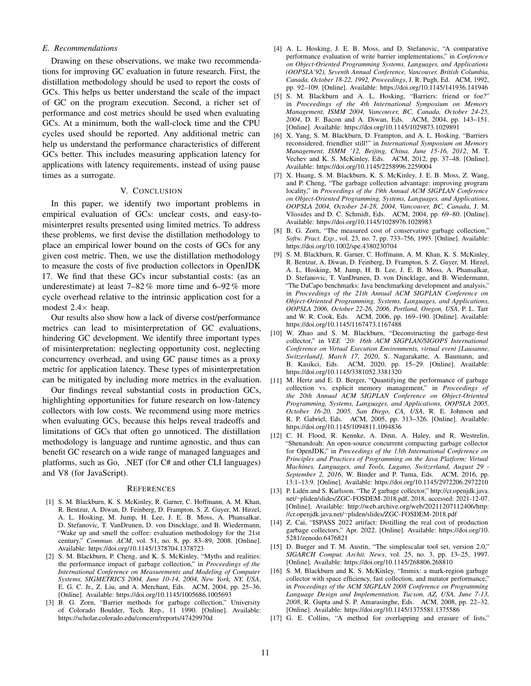## *E. Recommendations*

Drawing on these observations, we make two recommendations for improving GC evaluation in future research. First, the distillation methodology should be used to report the costs of GCs. This helps us better understand the scale of the impact of GC on the program execution. Second, a richer set of performance and cost metrics should be used when evaluating GCs. At a minimum, both the wall-clock time and the CPU cycles used should be reported. Any additional metric can help us understand the performance characteristics of different GCs better. This includes measuring application latency for applications with latency requirements, instead of using pause times as a surrogate.

### V. CONCLUSION

In this paper, we identify two important problems in empirical evaluation of GCs: unclear costs, and easy-tomisinterpret results presented using limited metrics. To address these problems, we first devise the distillation methodology to place an empirical lower bound on the costs of GCs for any given cost metric. Then, we use the distillation methodology to measure the costs of five production collectors in OpenJDK 17. We find that these GCs incur substantial costs: (as an underestimate) at least 7–82 % more time and 6–92 % more cycle overhead relative to the intrinsic application cost for a modest  $2.4 \times$  heap.

Our results also show how a lack of diverse cost/performance metrics can lead to misinterpretation of GC evaluations, hindering GC development. We identify three important types of misinterpretation: neglecting opportunity cost, neglecting concurrency overhead, and using GC pause times as a proxy metric for application latency. These types of misinterpretation can be mitigated by including more metrics in the evaluation.

Our findings reveal substantial costs in production GCs, highlighting opportunities for future research on low-latency collectors with low costs. We recommend using more metrics when evaluating GCs, because this helps reveal tradeoffs and limitations of GCs that often go unnoticed. The distillation methodology is language and runtime agnostic, and thus can benefit GC research on a wide range of managed languages and platforms, such as Go, .NET (for C# and other CLI languages) and V8 (for JavaScript).

#### **REFERENCES**

- <span id="page-10-0"></span>[1] S. M. Blackburn, K. S. McKinley, R. Garner, C. Hoffmann, A. M. Khan, R. Bentzur, A. Diwan, D. Feinberg, D. Frampton, S. Z. Guyer, M. Hirzel, A. L. Hosking, M. Jump, H. Lee, J. E. B. Moss, A. Phansalkar, D. Stefanovic, T. VanDrunen, D. von Dincklage, and B. Wiedermann, "Wake up and smell the coffee: evaluation methodology for the 21st century," *Commun. ACM*, vol. 51, no. 8, pp. 83–89, 2008. [Online]. Available:<https://doi.org/10.1145/1378704.1378723>
- <span id="page-10-8"></span>[2] S. M. Blackburn, P. Cheng, and K. S. McKinley, "Myths and realities: the performance impact of garbage collection," in *Proceedings of the International Conference on Measurements and Modeling of Computer Systems, SIGMETRICS 2004, June 10-14, 2004, New York, NY, USA*, E. G. C. Jr., Z. Liu, and A. Merchant, Eds. ACM, 2004, pp. 25–36. [Online]. Available:<https://doi.org/10.1145/1005686.1005693>
- <span id="page-10-12"></span>[3] B. G. Zorn, "Barrier methods for garbage collection," University of Colorado Boulder, Tech. Rep., 11 1990. [Online]. Available: <https://scholar.colorado.edu/concern/reports/47429970d>
- [4] A. L. Hosking, J. E. B. Moss, and D. Stefanovic, "A comparative performance evaluation of write barrier implementations," in *Conference on Object-Oriented Programming Systems, Languages, and Applications (OOPSLA'92), Seventh Annual Conference, Vancouver, British Columbia, Canada, October 18-22, 1992, Proceedings*, J. R. Pugh, Ed. ACM, 1992, pp. 92–109. [Online]. Available:<https://doi.org/10.1145/141936.141946>
- [5] S. M. Blackburn and A. L. Hosking, "Barriers: friend or foe?" in *Proceedings of the 4th International Symposium on Memory Management, ISMM 2004, Vancouver, BC, Canada, October 24-25, 2004*, D. F. Bacon and A. Diwan, Eds. ACM, 2004, pp. 143–151. [Online]. Available:<https://doi.org/10.1145/1029873.1029891>
- <span id="page-10-10"></span>[6] X. Yang, S. M. Blackburn, D. Frampton, and A. L. Hosking, "Barriers reconsidered, friendlier still!" in *International Symposium on Memory Management, ISMM '12, Beijing, China, June 15-16, 2012*, M. T. Vechev and K. S. McKinley, Eds. ACM, 2012, pp. 37–48. [Online]. Available:<https://doi.org/10.1145/2258996.2259004>
- <span id="page-10-13"></span>[7] X. Huang, S. M. Blackburn, K. S. McKinley, J. E. B. Moss, Z. Wang, and P. Cheng, "The garbage collection advantage: improving program locality," in *Proceedings of the 19th Annual ACM SIGPLAN Conference on Object-Oriented Programming, Systems, Languages, and Applications, OOPSLA 2004, October 24-28, 2004, Vancouver, BC, Canada*, J. M. Vlissides and D. C. Schmidt, Eds. ACM, 2004, pp. 69–80. [Online]. Available:<https://doi.org/10.1145/1028976.1028983>
- <span id="page-10-7"></span>[8] B. G. Zorn, "The measured cost of conservative garbage collection," *Softw. Pract. Exp.*, vol. 23, no. 7, pp. 733–756, 1993. [Online]. Available: <https://doi.org/10.1002/spe.4380230704>
- <span id="page-10-14"></span>[9] S. M. Blackburn, R. Garner, C. Hoffmann, A. M. Khan, K. S. McKinley, R. Bentzur, A. Diwan, D. Feinberg, D. Frampton, S. Z. Guyer, M. Hirzel, A. L. Hosking, M. Jump, H. B. Lee, J. E. B. Moss, A. Phansalkar, D. Stefanovic, T. VanDrunen, D. von Dincklage, and B. Wiedermann, "The DaCapo benchmarks: Java benchmarking development and analysis," in *Proceedings of the 21th Annual ACM SIGPLAN Conference on Object-Oriented Programming, Systems, Languages, and Applications, OOPSLA 2006, October 22-26, 2006, Portland, Oregon, USA*, P. L. Tarr and W. R. Cook, Eds. ACM, 2006, pp. 169–190. [Online]. Available: <https://doi.org/10.1145/1167473.1167488>
- <span id="page-10-1"></span>[10] W. Zhao and S. M. Blackburn, "Deconstructing the garbage-first collector," in *VEE '20: 16th ACM SIGPLAN/SIGOPS International Conference on Virtual Execution Environments, virtual event [Lausanne, Switzerland], March 17, 2020*, S. Nagarakatte, A. Baumann, and B. Kasikci, Eds. ACM, 2020, pp. 15–29. [Online]. Available: <https://doi.org/10.1145/3381052.3381320>
- <span id="page-10-2"></span>[11] M. Hertz and E. D. Berger, "Quantifying the performance of garbage collection vs. explicit memory management," in *Proceedings of the 20th Annual ACM SIGPLAN Conference on Object-Oriented Programming, Systems, Languages, and Applications, OOPSLA 2005, October 16-20, 2005, San Diego, CA, USA*, R. E. Johnson and R. P. Gabriel, Eds. ACM, 2005, pp. 313–326. [Online]. Available: <https://doi.org/10.1145/1094811.1094836>
- <span id="page-10-3"></span>[12] C. H. Flood, R. Kennke, A. Dinn, A. Haley, and R. Westrelin, "Shenandoah: An open-source concurrent compacting garbage collector for OpenJDK," in *Proceedings of the 13th International Conference on Principles and Practices of Programming on the Java Platform: Virtual Machines, Languages, and Tools, Lugano, Switzerland, August 29 - September 2, 2016*, W. Binder and P. Tuma, Eds. ACM, 2016, pp. 13:1–13:9. [Online]. Available:<https://doi.org/10.1145/2972206.2972210>
- <span id="page-10-4"></span>[13] P. Lidén and S. Karlsson, "The Z garbage collector," [http://cr.openjdk.java.](http://cr.openjdk.java.net/~pliden/slides/ZGC-FOSDEM-2018.pdf) net/∼[pliden/slides/ZGC-FOSDEM-2018.pdf,](http://cr.openjdk.java.net/~pliden/slides/ZGC-FOSDEM-2018.pdf) 2018, accessed: 2021-12-07. [Online]. Available: [http://web.archive.org/web/20211207112406/http:](http://web.archive.org/web/20211207112406/http://cr.openjdk.java.net/~pliden/slides/ZGC-FOSDEM-2018.pdf) //cr.openjdk.java.net/∼[pliden/slides/ZGC-FOSDEM-2018.pdf](http://web.archive.org/web/20211207112406/http://cr.openjdk.java.net/~pliden/slides/ZGC-FOSDEM-2018.pdf)
- <span id="page-10-5"></span>[14] Z. Cai, "ISPASS 2022 artifact: Distilling the real cost of production garbage collectors," Apr. 2022. [Online]. Available: [https://doi.org/10.](https://doi.org/10.5281/zenodo.6476821) [5281/zenodo.6476821](https://doi.org/10.5281/zenodo.6476821)
- <span id="page-10-6"></span>[15] D. Burger and T. M. Austin, "The simplescalar tool set, version 2.0," *SIGARCH Comput. Archit. News*, vol. 25, no. 3, pp. 13–25, 1997. [Online]. Available:<https://doi.org/10.1145/268806.268810>
- <span id="page-10-9"></span>[16] S. M. Blackburn and K. S. McKinley, "Immix: a mark-region garbage collector with space efficiency, fast collection, and mutator performance," in *Proceedings of the ACM SIGPLAN 2008 Conference on Programming Language Design and Implementation, Tucson, AZ, USA, June 7-13, 2008*, R. Gupta and S. P. Amarasinghe, Eds. ACM, 2008, pp. 22–32. [Online]. Available:<https://doi.org/10.1145/1375581.1375586>
- <span id="page-10-11"></span>[17] G. E. Collins, "A method for overlapping and erasure of lists,"